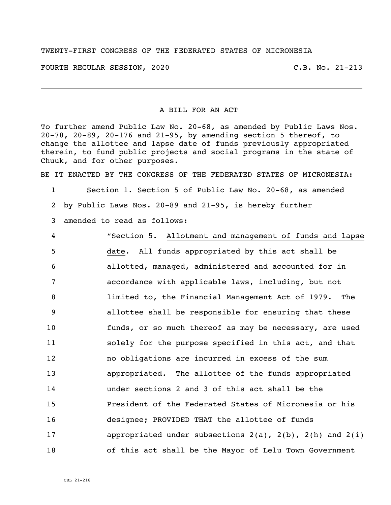## TWENTY-FIRST CONGRESS OF THE FEDERATED STATES OF MICRONESIA

FOURTH REGULAR SESSION, 2020 C.B. No. 21-213

## A BILL FOR AN ACT

To further amend Public Law No. 20-68, as amended by Public Laws Nos. 20-78, 20-89, 20-176 and 21-95, by amending section 5 thereof, to change the allottee and lapse date of funds previously appropriated therein, to fund public projects and social programs in the state of Chuuk, and for other purposes.

BE IT ENACTED BY THE CONGRESS OF THE FEDERATED STATES OF MICRONESIA:

 Section 1. Section 5 of Public Law No. 20-68, as amended by Public Laws Nos. 20-89 and 21-95, is hereby further

amended to read as follows:

 "Section 5. Allotment and management of funds and lapse date. All funds appropriated by this act shall be allotted, managed, administered and accounted for in accordance with applicable laws, including, but not limited to, the Financial Management Act of 1979. The allottee shall be responsible for ensuring that these funds, or so much thereof as may be necessary, are used solely for the purpose specified in this act, and that no obligations are incurred in excess of the sum appropriated. The allottee of the funds appropriated under sections 2 and 3 of this act shall be the President of the Federated States of Micronesia or his designee; PROVIDED THAT the allottee of funds appropriated under subsections 2(a), 2(b), 2(h) and 2(i) of this act shall be the Mayor of Lelu Town Government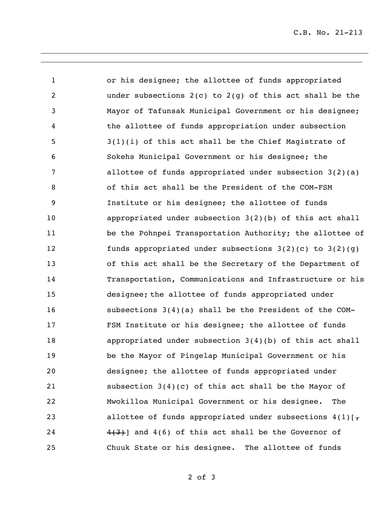or his designee; the allottee of funds appropriated under subsections 2(c) to 2(g) of this act shall be the Mayor of Tafunsak Municipal Government or his designee; the allottee of funds appropriation under subsection 3(1)(i) of this act shall be the Chief Magistrate of Sokehs Municipal Government or his designee; the allottee of funds appropriated under subsection 3(2)(a) of this act shall be the President of the COM-FSM Institute or his designee; the allottee of funds appropriated under subsection 3(2)(b) of this act shall be the Pohnpei Transportation Authority; the allottee of funds appropriated under subsections 3(2)(c) to 3(2)(g) of this act shall be the Secretary of the Department of Transportation, Communications and Infrastructure or his designee; the allottee of funds appropriated under subsections 3(4)(a) shall be the President of the COM- FSM Institute or his designee; the allottee of funds appropriated under subsection 3(4)(b) of this act shall be the Mayor of Pingelap Municipal Government or his designee; the allottee of funds appropriated under subsection 3(4)(c) of this act shall be the Mayor of Mwokilloa Municipal Government or his designee. The 23 allottee of funds appropriated under subsections  $4(1)[\tau]$  $\left\{\frac{4}{3}\right\}$  and 4(6) of this act shall be the Governor of Chuuk State or his designee. The allottee of funds